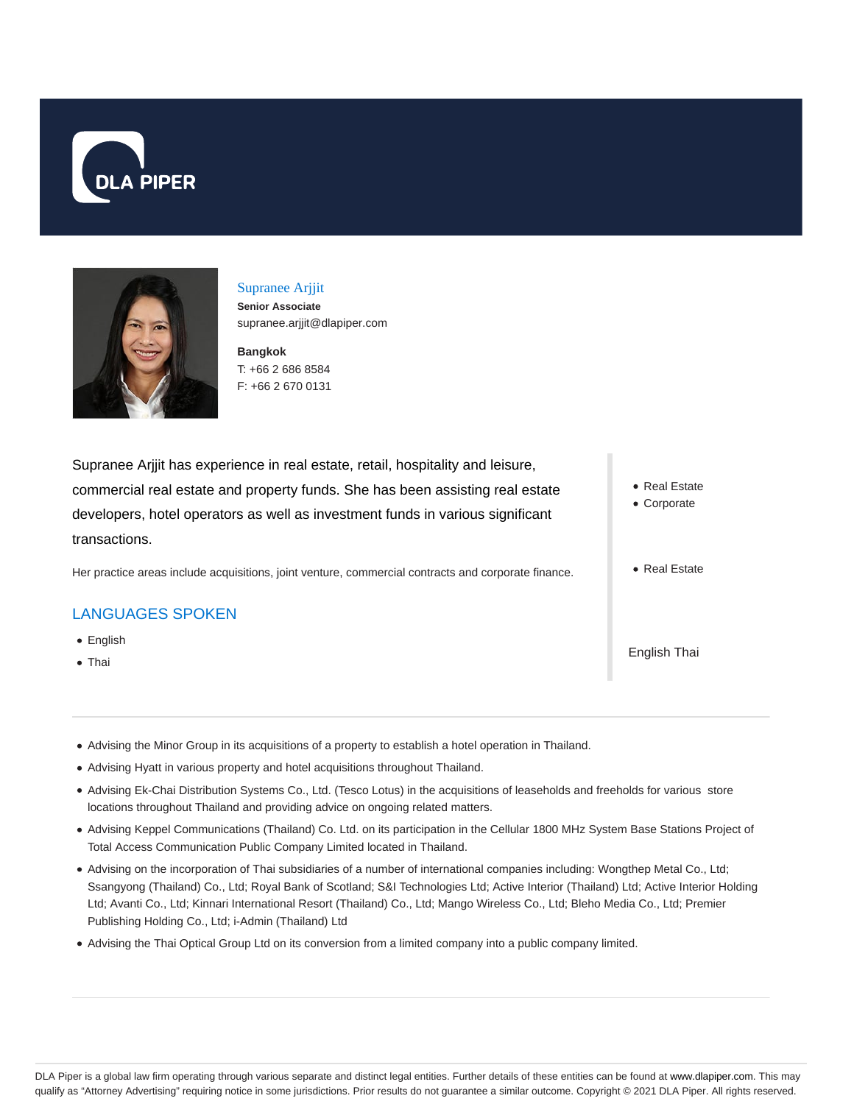



### Supranee Arjjit **Senior Associate**

supranee.arjjit@dlapiper.com

**Bangkok** T: +66 2 686 8584 F: +66 2 670 0131

Supranee Arjjit has experience in real estate, retail, hospitality and leisure, commercial real estate and property funds. She has been assisting real estate developers, hotel operators as well as investment funds in various significant transactions.

Her practice areas include acquisitions, joint venture, commercial contracts and corporate finance.

## LANGUAGES SPOKEN

- English
- Thai
- Real Estate
- Corporate
- Real Estate

English Thai

- Advising the Minor Group in its acquisitions of a property to establish a hotel operation in Thailand.
- Advising Hyatt in various property and hotel acquisitions throughout Thailand.
- Advising Ek-Chai Distribution Systems Co., Ltd. (Tesco Lotus) in the acquisitions of leaseholds and freeholds for various store locations throughout Thailand and providing advice on ongoing related matters.
- Advising Keppel Communications (Thailand) Co. Ltd. on its participation in the Cellular 1800 MHz System Base Stations Project of Total Access Communication Public Company Limited located in Thailand.
- Advising on the incorporation of Thai subsidiaries of a number of international companies including: Wongthep Metal Co., Ltd; Ssangyong (Thailand) Co., Ltd; Royal Bank of Scotland; S&I Technologies Ltd; Active Interior (Thailand) Ltd; Active Interior Holding Ltd; Avanti Co., Ltd; Kinnari International Resort (Thailand) Co., Ltd; Mango Wireless Co., Ltd; Bleho Media Co., Ltd; Premier Publishing Holding Co., Ltd; i-Admin (Thailand) Ltd
- Advising the Thai Optical Group Ltd on its conversion from a limited company into a public company limited.